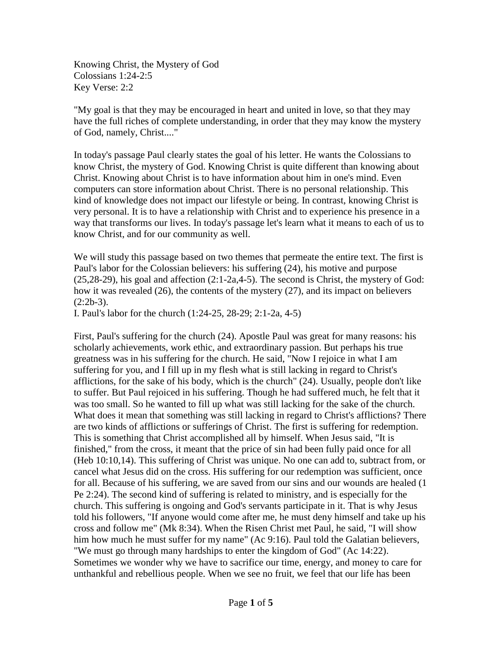Knowing Christ, the Mystery of God Colossians 1:24-2:5 Key Verse: 2:2

"My goal is that they may be encouraged in heart and united in love, so that they may have the full riches of complete understanding, in order that they may know the mystery of God, namely, Christ...."

In today's passage Paul clearly states the goal of his letter. He wants the Colossians to know Christ, the mystery of God. Knowing Christ is quite different than knowing about Christ. Knowing about Christ is to have information about him in one's mind. Even computers can store information about Christ. There is no personal relationship. This kind of knowledge does not impact our lifestyle or being. In contrast, knowing Christ is very personal. It is to have a relationship with Christ and to experience his presence in a way that transforms our lives. In today's passage let's learn what it means to each of us to know Christ, and for our community as well.

We will study this passage based on two themes that permeate the entire text. The first is Paul's labor for the Colossian believers: his suffering (24), his motive and purpose (25,28-29), his goal and affection (2:1-2a,4-5). The second is Christ, the mystery of God: how it was revealed (26), the contents of the mystery (27), and its impact on believers  $(2:2b-3)$ .

I. Paul's labor for the church (1:24-25, 28-29; 2:1-2a, 4-5)

First, Paul's suffering for the church (24). Apostle Paul was great for many reasons: his scholarly achievements, work ethic, and extraordinary passion. But perhaps his true greatness was in his suffering for the church. He said, "Now I rejoice in what I am suffering for you, and I fill up in my flesh what is still lacking in regard to Christ's afflictions, for the sake of his body, which is the church" (24). Usually, people don't like to suffer. But Paul rejoiced in his suffering. Though he had suffered much, he felt that it was too small. So he wanted to fill up what was still lacking for the sake of the church. What does it mean that something was still lacking in regard to Christ's afflictions? There are two kinds of afflictions or sufferings of Christ. The first is suffering for redemption. This is something that Christ accomplished all by himself. When Jesus said, "It is finished," from the cross, it meant that the price of sin had been fully paid once for all (Heb 10:10,14). This suffering of Christ was unique. No one can add to, subtract from, or cancel what Jesus did on the cross. His suffering for our redemption was sufficient, once for all. Because of his suffering, we are saved from our sins and our wounds are healed (1 Pe 2:24). The second kind of suffering is related to ministry, and is especially for the church. This suffering is ongoing and God's servants participate in it. That is why Jesus told his followers, "If anyone would come after me, he must deny himself and take up his cross and follow me" (Mk 8:34). When the Risen Christ met Paul, he said, "I will show him how much he must suffer for my name" (Ac 9:16). Paul told the Galatian believers, "We must go through many hardships to enter the kingdom of God" (Ac 14:22). Sometimes we wonder why we have to sacrifice our time, energy, and money to care for unthankful and rebellious people. When we see no fruit, we feel that our life has been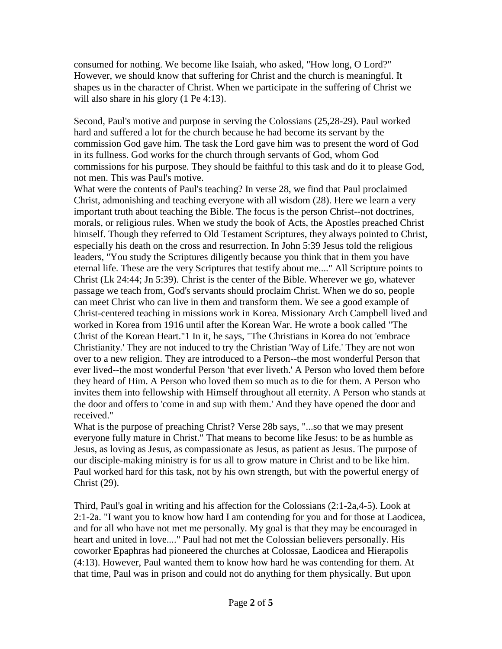consumed for nothing. We become like Isaiah, who asked, "How long, O Lord?" However, we should know that suffering for Christ and the church is meaningful. It shapes us in the character of Christ. When we participate in the suffering of Christ we will also share in his glory (1 Pe 4:13).

Second, Paul's motive and purpose in serving the Colossians (25,28-29). Paul worked hard and suffered a lot for the church because he had become its servant by the commission God gave him. The task the Lord gave him was to present the word of God in its fullness. God works for the church through servants of God, whom God commissions for his purpose. They should be faithful to this task and do it to please God, not men. This was Paul's motive.

What were the contents of Paul's teaching? In verse 28, we find that Paul proclaimed Christ, admonishing and teaching everyone with all wisdom (28). Here we learn a very important truth about teaching the Bible. The focus is the person Christ--not doctrines, morals, or religious rules. When we study the book of Acts, the Apostles preached Christ himself. Though they referred to Old Testament Scriptures, they always pointed to Christ, especially his death on the cross and resurrection. In John 5:39 Jesus told the religious leaders, "You study the Scriptures diligently because you think that in them you have eternal life. These are the very Scriptures that testify about me...." All Scripture points to Christ (Lk 24:44; Jn 5:39). Christ is the center of the Bible. Wherever we go, whatever passage we teach from, God's servants should proclaim Christ. When we do so, people can meet Christ who can live in them and transform them. We see a good example of Christ-centered teaching in missions work in Korea. Missionary Arch Campbell lived and worked in Korea from 1916 until after the Korean War. He wrote a book called "The Christ of the Korean Heart."1 In it, he says, "The Christians in Korea do not 'embrace Christianity.' They are not induced to try the Christian 'Way of Life.' They are not won over to a new religion. They are introduced to a Person--the most wonderful Person that ever lived--the most wonderful Person 'that ever liveth.' A Person who loved them before they heard of Him. A Person who loved them so much as to die for them. A Person who invites them into fellowship with Himself throughout all eternity. A Person who stands at the door and offers to 'come in and sup with them.' And they have opened the door and received."

What is the purpose of preaching Christ? Verse 28b says, "...so that we may present everyone fully mature in Christ." That means to become like Jesus: to be as humble as Jesus, as loving as Jesus, as compassionate as Jesus, as patient as Jesus. The purpose of our disciple-making ministry is for us all to grow mature in Christ and to be like him. Paul worked hard for this task, not by his own strength, but with the powerful energy of Christ (29).

Third, Paul's goal in writing and his affection for the Colossians (2:1-2a,4-5). Look at 2:1-2a. "I want you to know how hard I am contending for you and for those at Laodicea, and for all who have not met me personally. My goal is that they may be encouraged in heart and united in love...." Paul had not met the Colossian believers personally. His coworker Epaphras had pioneered the churches at Colossae, Laodicea and Hierapolis (4:13). However, Paul wanted them to know how hard he was contending for them. At that time, Paul was in prison and could not do anything for them physically. But upon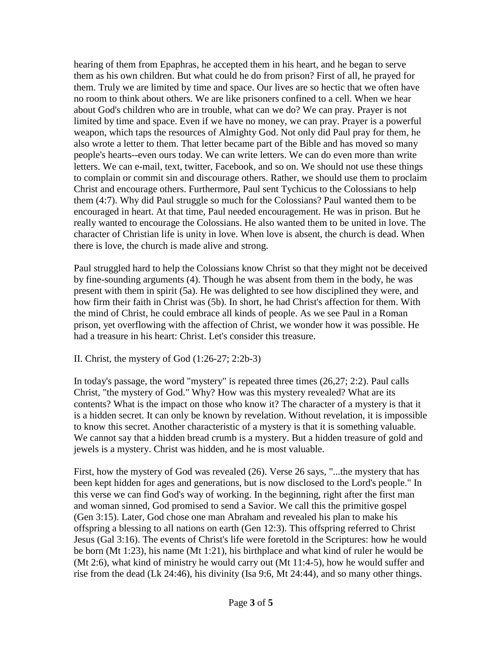hearing of them from Epaphras, he accepted them in his heart, and he began to serve them as his own children. But what could he do from prison? First of all, he prayed for them. Truly we are limited by time and space. Our lives are so hectic that we often have no room to think about others. We are like prisoners confined to a cell. When we hear about God's children who are in trouble, what can we do? We can pray. Prayer is not limited by time and space. Even if we have no money, we can pray. Prayer is a powerful weapon, which taps the resources of Almighty God. Not only did Paul pray for them, he also wrote a letter to them. That letter became part of the Bible and has moved so many people's hearts--even ours today. We can write letters. We can do even more than write letters. We can e-mail, text, twitter, Facebook, and so on. We should not use these things to complain or commit sin and discourage others. Rather, we should use them to proclaim Christ and encourage others. Furthermore, Paul sent Tychicus to the Colossians to help them (4:7). Why did Paul struggle so much for the Colossians? Paul wanted them to be encouraged in heart. At that time, Paul needed encouragement. He was in prison. But he really wanted to encourage the Colossians. He also wanted them to be united in love. The character of Christian life is unity in love. When love is absent, the church is dead. When there is love, the church is made alive and strong.

Paul struggled hard to help the Colossians know Christ so that they might not be deceived by fine-sounding arguments (4). Though he was absent from them in the body, he was present with them in spirit (5a). He was delighted to see how disciplined they were, and how firm their faith in Christ was (5b). In short, he had Christ's affection for them. With the mind of Christ, he could embrace all kinds of people. As we see Paul in a Roman prison, yet overflowing with the affection of Christ, we wonder how it was possible. He had a treasure in his heart: Christ. Let's consider this treasure.

## II. Christ, the mystery of God (1:26-27; 2:2b-3)

In today's passage, the word "mystery" is repeated three times (26,27; 2:2). Paul calls Christ, "the mystery of God." Why? How was this mystery revealed? What are its contents? What is the impact on those who know it? The character of a mystery is that it is a hidden secret. It can only be known by revelation. Without revelation, it is impossible to know this secret. Another characteristic of a mystery is that it is something valuable. We cannot say that a hidden bread crumb is a mystery. But a hidden treasure of gold and jewels is a mystery. Christ was hidden, and he is most valuable.

First, how the mystery of God was revealed (26). Verse 26 says, "...the mystery that has been kept hidden for ages and generations, but is now disclosed to the Lord's people." In this verse we can find God's way of working. In the beginning, right after the first man and woman sinned, God promised to send a Savior. We call this the primitive gospel (Gen 3:15). Later, God chose one man Abraham and revealed his plan to make his offspring a blessing to all nations on earth (Gen 12:3). This offspring referred to Christ Jesus (Gal 3:16). The events of Christ's life were foretold in the Scriptures: how he would be born (Mt 1:23), his name (Mt 1:21), his birthplace and what kind of ruler he would be (Mt 2:6), what kind of ministry he would carry out (Mt 11:4-5), how he would suffer and rise from the dead (Lk 24:46), his divinity (Isa 9:6, Mt 24:44), and so many other things.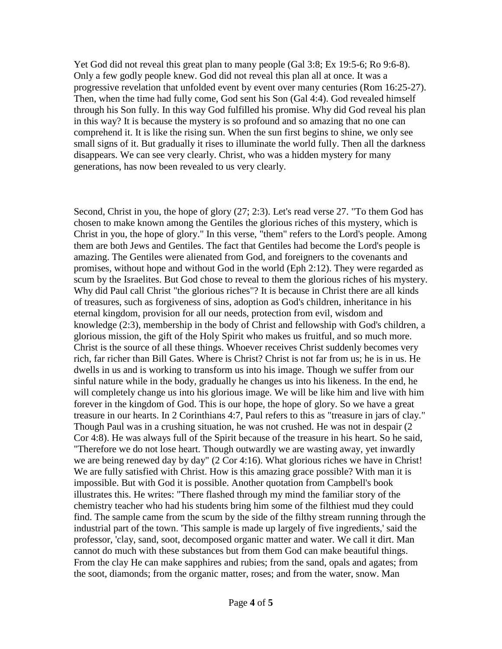Yet God did not reveal this great plan to many people (Gal 3:8; Ex 19:5-6; Ro 9:6-8). Only a few godly people knew. God did not reveal this plan all at once. It was a progressive revelation that unfolded event by event over many centuries (Rom 16:25-27). Then, when the time had fully come, God sent his Son (Gal 4:4). God revealed himself through his Son fully. In this way God fulfilled his promise. Why did God reveal his plan in this way? It is because the mystery is so profound and so amazing that no one can comprehend it. It is like the rising sun. When the sun first begins to shine, we only see small signs of it. But gradually it rises to illuminate the world fully. Then all the darkness disappears. We can see very clearly. Christ, who was a hidden mystery for many generations, has now been revealed to us very clearly.

Second, Christ in you, the hope of glory (27; 2:3). Let's read verse 27. "To them God has chosen to make known among the Gentiles the glorious riches of this mystery, which is Christ in you, the hope of glory." In this verse, "them" refers to the Lord's people. Among them are both Jews and Gentiles. The fact that Gentiles had become the Lord's people is amazing. The Gentiles were alienated from God, and foreigners to the covenants and promises, without hope and without God in the world (Eph 2:12). They were regarded as scum by the Israelites. But God chose to reveal to them the glorious riches of his mystery. Why did Paul call Christ "the glorious riches"? It is because in Christ there are all kinds of treasures, such as forgiveness of sins, adoption as God's children, inheritance in his eternal kingdom, provision for all our needs, protection from evil, wisdom and knowledge (2:3), membership in the body of Christ and fellowship with God's children, a glorious mission, the gift of the Holy Spirit who makes us fruitful, and so much more. Christ is the source of all these things. Whoever receives Christ suddenly becomes very rich, far richer than Bill Gates. Where is Christ? Christ is not far from us; he is in us. He dwells in us and is working to transform us into his image. Though we suffer from our sinful nature while in the body, gradually he changes us into his likeness. In the end, he will completely change us into his glorious image. We will be like him and live with him forever in the kingdom of God. This is our hope, the hope of glory. So we have a great treasure in our hearts. In 2 Corinthians 4:7, Paul refers to this as "treasure in jars of clay." Though Paul was in a crushing situation, he was not crushed. He was not in despair (2 Cor 4:8). He was always full of the Spirit because of the treasure in his heart. So he said, "Therefore we do not lose heart. Though outwardly we are wasting away, yet inwardly we are being renewed day by day" (2 Cor 4:16). What glorious riches we have in Christ! We are fully satisfied with Christ. How is this amazing grace possible? With man it is impossible. But with God it is possible. Another quotation from Campbell's book illustrates this. He writes: "There flashed through my mind the familiar story of the chemistry teacher who had his students bring him some of the filthiest mud they could find. The sample came from the scum by the side of the filthy stream running through the industrial part of the town. 'This sample is made up largely of five ingredients,' said the professor, 'clay, sand, soot, decomposed organic matter and water. We call it dirt. Man cannot do much with these substances but from them God can make beautiful things. From the clay He can make sapphires and rubies; from the sand, opals and agates; from the soot, diamonds; from the organic matter, roses; and from the water, snow. Man